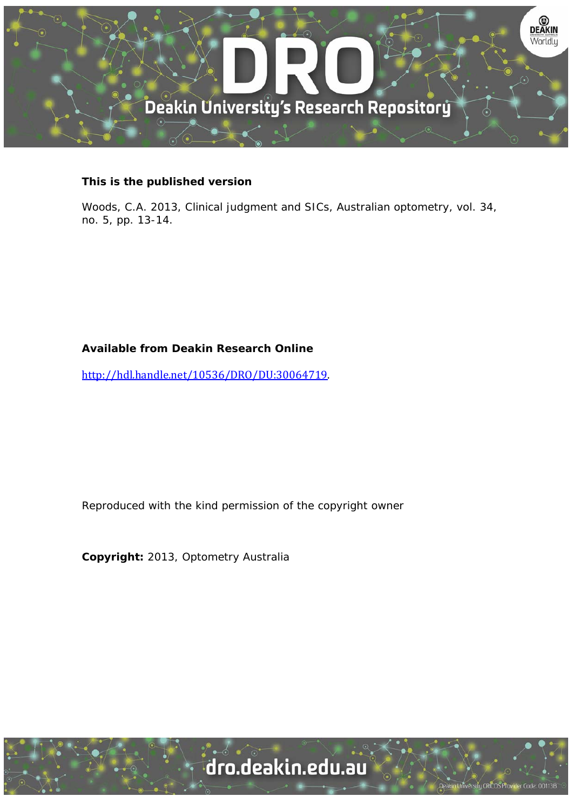

### **This is the published version**

Woods, C.A. 2013, Clinical judgment and SICs, Australian optometry, vol. 34, no. 5, pp. 13-14.

### **Available from Deakin Research Online**

http://hdl.handle.net/10536/DRO/DU:30064719. 

Reproduced with the kind permission of the copyright owner

**Copyright:** 2013, Optometry Australia

University CRICOS Provider Code: 00113B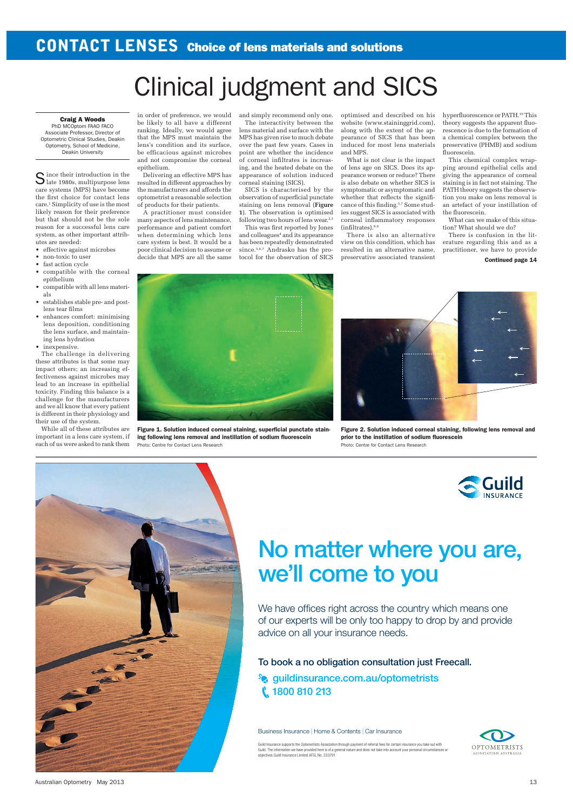## **CONTACT LENSES** Choice of lens materials and solutions

# Clinical judgment and SICS

#### Craig A Woods

PhD MCOptom FAAO FACO Associate Professor, Director of Optometric Clinical Studies, Deakin Optometry, School of Medicine, Deakin University

Since their introduction in the late 1980s, multipurpose lens care systems (MPS) have become the first choice for contact lens care.1 Simplicity of use is the most likely reason for their preference but that should not be the sole reason for a successful lens care system, as other important attributes are needed:

- effective against microbes
- non-toxic to user
- fast action cycle
- compatible with the corneal epithelium
- compatible with all lens materials
- establishes stable pre- and postlens tear films
- enhances comfort: minimising lens deposition, conditioning the lens surface, and maintaining lens hydration
- inexpensive.

The challenge in delivering these attributes is that some may impact others; an increasing effectiveness against microbes may lead to an increase in epithelial toxicity. Finding this balance is a challenge for the manufacturers and we all know that every patient is different in their physiology and their use of the system.

While all of these attributes are important in a lens care system, if each of us were asked to rank them in order of preference, we would be likely to all have a different ranking. Ideally, we would agree that the MPS must maintain the lens's condition and its surface, be efficacious against microbes and not compromise the corneal epithelium.

Delivering an effective MPS has resulted in different approaches by the manufacturers and affords the optometrist a reasonable selection of products for their patients.

A practitioner must consider many aspects of lens maintenance, performance and patient comfort when determining which lens care system is best. It would be a poor clinical decision to assume or decide that MPS are all the same

and simply recommend only one.

The interactivity between the lens material and surface with the MPS has given rise to much debate over the past few years. Cases in point are whether the incidence of corneal infiltrates is increasing, and the heated debate on the appearance of solution induced corneal staining (SICS).

SICS is characterised by the observation of superficial punctate staining on lens removal (**Figure 1**). The observation is optimised following two hours of lens wear.<sup>2,3</sup>

This was first reported by Jones and colleagues<sup>4</sup> and its appearance has been repeatedly demonstrated since.<sup>5,6,7</sup> Andrasko has the protocol for the observation of SICS

optimised and described on his website (www.staininggrid.com), along with the extent of the appearance of SICS that has been induced for most lens materials and MPS.

What is not clear is the impact of lens age on SICS. Does its appearance worsen or reduce? There is also debate on whether SICS is symptomatic or asymptomatic and whether that reflects the significance of this finding.5,7 Some studies suggest SICS is associated with corneal inflammatory responses (infiltrates).8,9

There is also an alternative view on this condition, which has resulted in an alternative name, preservative associated transient hyperfluorescence or PATH.<sup>10</sup> This theory suggests the apparent fluorescence is due to the formation of a chemical complex between the preservative (PHMB) and sodium fluorescein.

This chemical complex wrapping around epithelial cells and giving the appearance of corneal staining is in fact not staining. The PATH theory suggests the observation you make on lens removal is an artefact of your instillation of the fluorescein.

What can we make of this situation? What should we do?

There is confusion in the literature regarding this and as a practitioner, we have to provide

Continued page 14

Figure 1. Solution induced corneal staining, superficial punctate staining following lens removal and instillation of sodium fluorescein Photo: Centre for Contact Lens Research

Figure 2. Solution induced corneal staining, following lens removal and prior to the instillation of sodium fluorescein Photo: Centre for Contact Lens Research